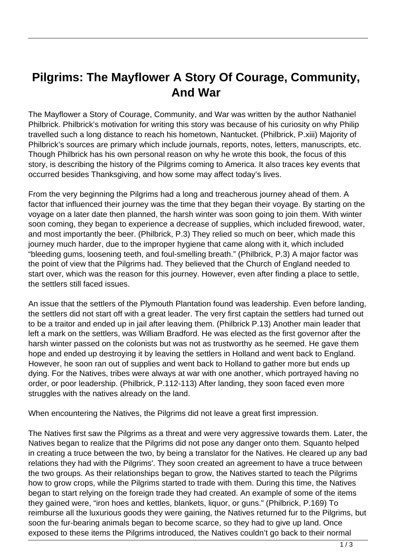## **Pilgrims: The Mayflower A Story Of Courage, Community, And War**

The Mayflower a Story of Courage, Community, and War was written by the author Nathaniel Philbrick. Philbrick's motivation for writing this story was because of his curiosity on why Philip travelled such a long distance to reach his hometown, Nantucket. (Philbrick, P.xiii) Majority of Philbrick's sources are primary which include journals, reports, notes, letters, manuscripts, etc. Though Philbrick has his own personal reason on why he wrote this book, the focus of this story, is describing the history of the Pilgrims coming to America. It also traces key events that occurred besides Thanksgiving, and how some may affect today's lives.

From the very beginning the Pilgrims had a long and treacherous journey ahead of them. A factor that influenced their journey was the time that they began their voyage. By starting on the voyage on a later date then planned, the harsh winter was soon going to join them. With winter soon coming, they began to experience a decrease of supplies, which included firewood, water, and most importantly the beer. (Philbrick, P.3) They relied so much on beer, which made this journey much harder, due to the improper hygiene that came along with it, which included "bleeding gums, loosening teeth, and foul-smelling breath." (Philbrick, P.3) A major factor was the point of view that the Pilgrims had. They believed that the Church of England needed to start over, which was the reason for this journey. However, even after finding a place to settle, the settlers still faced issues.

An issue that the settlers of the Plymouth Plantation found was leadership. Even before landing, the settlers did not start off with a great leader. The very first captain the settlers had turned out to be a traitor and ended up in jail after leaving them. (Philbrick P.13) Another main leader that left a mark on the settlers, was William Bradford. He was elected as the first governor after the harsh winter passed on the colonists but was not as trustworthy as he seemed. He gave them hope and ended up destroying it by leaving the settlers in Holland and went back to England. However, he soon ran out of supplies and went back to Holland to gather more but ends up dying. For the Natives, tribes were always at war with one another, which portrayed having no order, or poor leadership. (Philbrick, P.112-113) After landing, they soon faced even more struggles with the natives already on the land.

When encountering the Natives, the Pilgrims did not leave a great first impression.

The Natives first saw the Pilgrims as a threat and were very aggressive towards them. Later, the Natives began to realize that the Pilgrims did not pose any danger onto them. Squanto helped in creating a truce between the two, by being a translator for the Natives. He cleared up any bad relations they had with the Pilgrims'. They soon created an agreement to have a truce between the two groups. As their relationships began to grow, the Natives started to teach the Pilgrims how to grow crops, while the Pilgrims started to trade with them. During this time, the Natives began to start relying on the foreign trade they had created. An example of some of the items they gained were, "iron hoes and kettles, blankets, liquor, or guns." (Philbrick, P.169) To reimburse all the luxurious goods they were gaining, the Natives returned fur to the Pilgrims, but soon the fur-bearing animals began to become scarce, so they had to give up land. Once exposed to these items the Pilgrims introduced, the Natives couldn't go back to their normal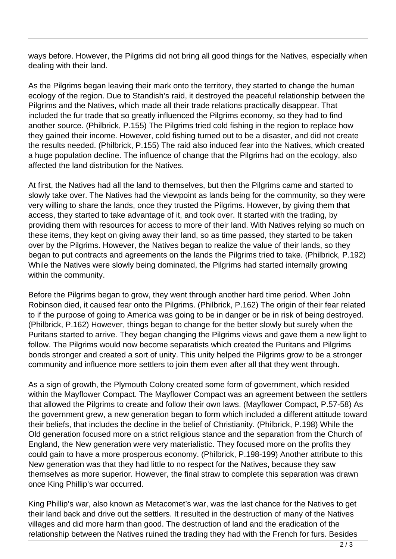ways before. However, the Pilgrims did not bring all good things for the Natives, especially when dealing with their land.

As the Pilgrims began leaving their mark onto the territory, they started to change the human ecology of the region. Due to Standish's raid, it destroyed the peaceful relationship between the Pilgrims and the Natives, which made all their trade relations practically disappear. That included the fur trade that so greatly influenced the Pilgrims economy, so they had to find another source. (Philbrick, P.155) The Pilgrims tried cold fishing in the region to replace how they gained their income. However, cold fishing turned out to be a disaster, and did not create the results needed. (Philbrick, P.155) The raid also induced fear into the Natives, which created a huge population decline. The influence of change that the Pilgrims had on the ecology, also affected the land distribution for the Natives.

At first, the Natives had all the land to themselves, but then the Pilgrims came and started to slowly take over. The Natives had the viewpoint as lands being for the community, so they were very willing to share the lands, once they trusted the Pilgrims. However, by giving them that access, they started to take advantage of it, and took over. It started with the trading, by providing them with resources for access to more of their land. With Natives relying so much on these items, they kept on giving away their land, so as time passed, they started to be taken over by the Pilgrims. However, the Natives began to realize the value of their lands, so they began to put contracts and agreements on the lands the Pilgrims tried to take. (Philbrick, P.192) While the Natives were slowly being dominated, the Pilgrims had started internally growing within the community.

Before the Pilgrims began to grow, they went through another hard time period. When John Robinson died, it caused fear onto the Pilgrims. (Philbrick, P.162) The origin of their fear related to if the purpose of going to America was going to be in danger or be in risk of being destroyed. (Philbrick, P.162) However, things began to change for the better slowly but surely when the Puritans started to arrive. They began changing the Pilgrims views and gave them a new light to follow. The Pilgrims would now become separatists which created the Puritans and Pilgrims bonds stronger and created a sort of unity. This unity helped the Pilgrims grow to be a stronger community and influence more settlers to join them even after all that they went through.

As a sign of growth, the Plymouth Colony created some form of government, which resided within the Mayflower Compact. The Mayflower Compact was an agreement between the settlers that allowed the Pilgrims to create and follow their own laws. (Mayflower Compact, P.57-58) As the government grew, a new generation began to form which included a different attitude toward their beliefs, that includes the decline in the belief of Christianity. (Philbrick, P.198) While the Old generation focused more on a strict religious stance and the separation from the Church of England, the New generation were very materialistic. They focused more on the profits they could gain to have a more prosperous economy. (Philbrick, P.198-199) Another attribute to this New generation was that they had little to no respect for the Natives, because they saw themselves as more superior. However, the final straw to complete this separation was drawn once King Phillip's war occurred.

King Phillip's war, also known as Metacomet's war, was the last chance for the Natives to get their land back and drive out the settlers. It resulted in the destruction of many of the Natives villages and did more harm than good. The destruction of land and the eradication of the relationship between the Natives ruined the trading they had with the French for furs. Besides